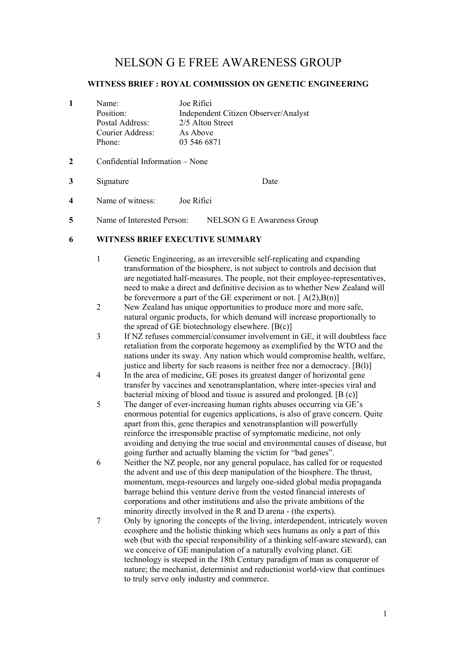# NELSON G E FREE AWARENESS GROUP

#### **WITNESS BRIEF : ROYAL COMMISSION ON GENETIC ENGINEERING**

|  | Name:            | Joe Rifici                           |
|--|------------------|--------------------------------------|
|  | Position:        | Independent Citizen Observer/Analyst |
|  | Postal Address:  | 2/5 Alton Street                     |
|  | Courier Address: | As Above                             |
|  | Phone:           | 03 546 6871                          |

#### **2** Confidential Information – None

**3** Signature Date

- **4** Name of witness: Joe Rifici
- **5** Name of Interested Person: NELSON G E Awareness Group

#### **6 WITNESS BRIEF EXECUTIVE SUMMARY**

- 1 Genetic Engineering, as an irreversible self-replicating and expanding transformation of the biosphere, is not subject to controls and decision that are negotiated half-measures. The people, not their employee-representatives, need to make a direct and definitive decision as to whether New Zealand will be forevermore a part of the GE experiment or not.  $[A(2),B(n)]$
- 2 New Zealand has unique opportunities to produce more and more safe, natural organic products, for which demand will increase proportionally to the spread of GE biotechnology elsewhere.  $[B(c)]$
- 3 If NZ refuses commercial/consumer involvement in GE, it will doubtless face retaliation from the corporate hegemony as exemplified by the WTO and the nations under its sway. Any nation which would compromise health, welfare, justice and liberty for such reasons is neither free nor a democracy. [B(l)]
- 4 In the area of medicine, GE poses its greatest danger of horizontal gene transfer by vaccines and xenotransplantation, where inter-species viral and bacterial mixing of blood and tissue is assured and prolonged. [B (c)]
- 5 The danger of ever-increasing human rights abuses occurring via GE's enormous potential for eugenics applications, is also of grave concern. Quite apart from this, gene therapies and xenotransplantion will powerfully reinforce the irresponsible practise of symptomatic medicine, not only avoiding and denying the true social and environmental causes of disease, but going further and actually blaming the victim for "bad genes".
- 6 Neither the NZ people, nor any general populace, has called for or requested the advent and use of this deep manipulation of the biosphere. The thrust, momentum, mega-resources and largely one-sided global media propaganda barrage behind this venture derive from the vested financial interests of corporations and other institutions and also the private ambitions of the minority directly involved in the R and D arena - (the experts).
- 7 Only by ignoring the concepts of the living, interdependent, intricately woven ecosphere and the holistic thinking which sees humans as only a part of this web (but with the special responsibility of a thinking self-aware steward), can we conceive of GE manipulation of a naturally evolving planet. GE technology is steeped in the 18th Century paradigm of man as conqueror of nature; the mechanist, determinist and reductionist world-view that continues to truly serve only industry and commerce.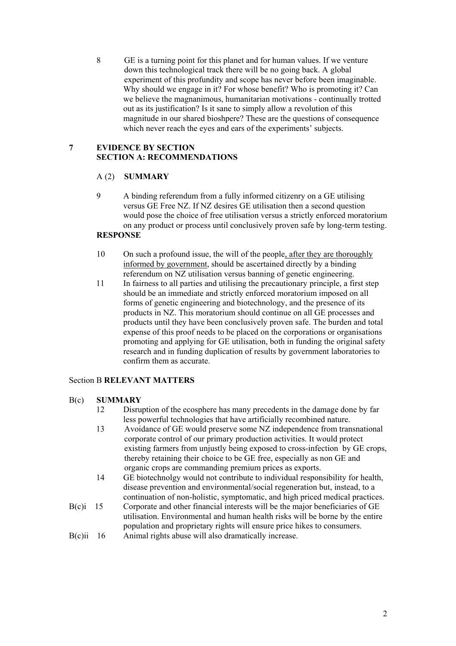8 GE is a turning point for this planet and for human values. If we venture down this technological track there will be no going back. A global experiment of this profundity and scope has never before been imaginable. Why should we engage in it? For whose benefit? Who is promoting it? Can we believe the magnanimous, humanitarian motivations - continually trotted out as its justification? Is it sane to simply allow a revolution of this magnitude in our shared bioshpere? These are the questions of consequence which never reach the eyes and ears of the experiments' subjects.

# **7 EVIDENCE BY SECTION SECTION A: RECOMMENDATIONS**

# A (2) **SUMMARY**

9 A binding referendum from a fully informed citizenry on a GE utilising versus GE Free NZ. If NZ desires GE utilisation then a second question would pose the choice of free utilisation versus a strictly enforced moratorium on any product or process until conclusively proven safe by long-term testing.

## **RESPONSE**

- 10 On such a profound issue, the will of the people, after they are thoroughly informed by government, should be ascertained directly by a binding referendum on NZ utilisation versus banning of genetic engineering.
- 11 In fairness to all parties and utilising the precautionary principle, a first step should be an immediate and strictly enforced moratorium imposed on all forms of genetic engineering and biotechnology, and the presence of its products in NZ. This moratorium should continue on all GE processes and products until they have been conclusively proven safe. The burden and total expense of this proof needs to be placed on the corporations or organisations promoting and applying for GE utilisation, both in funding the original safety research and in funding duplication of results by government laboratories to confirm them as accurate.

#### Section B **RELEVANT MATTERS**

#### B(c) **SUMMARY**

- 12 Disruption of the ecosphere has many precedents in the damage done by far less powerful technologies that have artificially recombined nature.
- 13 Avoidance of GE would preserve some NZ independence from transnational corporate control of our primary production activities. It would protect existing farmers from unjustly being exposed to cross-infection by GE crops, thereby retaining their choice to be GE free, especially as non GE and organic crops are commanding premium prices as exports.
- 14 GE biotechnolgy would not contribute to individual responsibility for health, disease prevention and environmental/social regeneration but, instead, to a continuation of non-holistic, symptomatic, and high priced medical practices.
- B(c)i 15 Corporate and other financial interests will be the major beneficiaries of GE utilisation. Environmental and human health risks will be borne by the entire population and proprietary rights will ensure price hikes to consumers.
- B(c)ii 16 Animal rights abuse will also dramatically increase.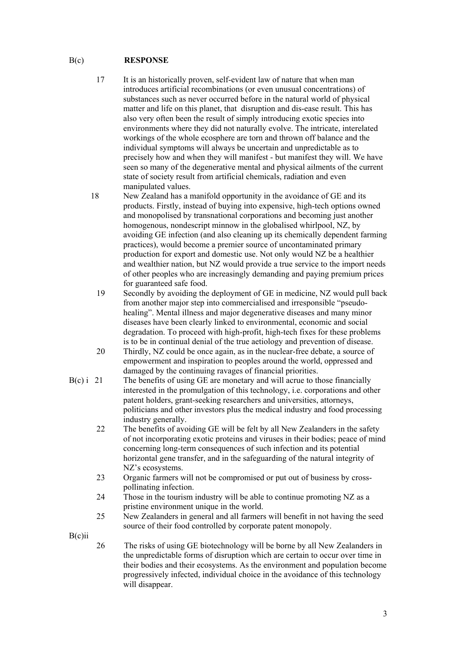# B(c) **RESPONSE**

- 17 It is an historically proven, self-evident law of nature that when man introduces artificial recombinations (or even unusual concentrations) of substances such as never occurred before in the natural world of physical matter and life on this planet, that disruption and dis-ease result. This has also very often been the result of simply introducing exotic species into environments where they did not naturally evolve. The intricate, interelated workings of the whole ecosphere are torn and thrown off balance and the individual symptoms will always be uncertain and unpredictable as to precisely how and when they will manifest - but manifest they will. We have seen so many of the degenerative mental and physical ailments of the current state of society result from artificial chemicals, radiation and even manipulated values.
- 18 New Zealand has a manifold opportunity in the avoidance of GE and its products. Firstly, instead of buying into expensive, high-tech options owned and monopolised by transnational corporations and becoming just another homogenous, nondescript minnow in the globalised whirlpool, NZ, by avoiding GE infection (and also cleaning up its chemically dependent farming practices), would become a premier source of uncontaminated primary production for export and domestic use. Not only would NZ be a healthier and wealthier nation, but NZ would provide a true service to the import needs of other peoples who are increasingly demanding and paying premium prices for guaranteed safe food.
	- 19 Secondly by avoiding the deployment of GE in medicine, NZ would pull back from another major step into commercialised and irresponsible "pseudohealing". Mental illness and major degenerative diseases and many minor diseases have been clearly linked to environmental, economic and social degradation. To proceed with high-profit, high-tech fixes for these problems is to be in continual denial of the true aetiology and prevention of disease.
	- 20 Thirdly, NZ could be once again, as in the nuclear-free debate, a source of empowerment and inspiration to peoples around the world, oppressed and damaged by the continuing ravages of financial priorities.
- $B(c)$  i 21 The benefits of using GE are monetary and will acrue to those financially interested in the promulgation of this technology, i.e. corporations and other patent holders, grant-seeking researchers and universities, attorneys, politicians and other investors plus the medical industry and food processing industry generally.
	- 22 The benefits of avoiding GE will be felt by all New Zealanders in the safety of not incorporating exotic proteins and viruses in their bodies; peace of mind concerning long-term consequences of such infection and its potential horizontal gene transfer, and in the safeguarding of the natural integrity of NZ's ecosystems.
	- 23 Organic farmers will not be compromised or put out of business by crosspollinating infection.
	- 24 Those in the tourism industry will be able to continue promoting NZ as a pristine environment unique in the world.
	- 25 New Zealanders in general and all farmers will benefit in not having the seed source of their food controlled by corporate patent monopoly.

B(c)ii

26 The risks of using GE biotechnology will be borne by all New Zealanders in the unpredictable forms of disruption which are certain to occur over time in their bodies and their ecosystems. As the environment and population become progressively infected, individual choice in the avoidance of this technology will disappear.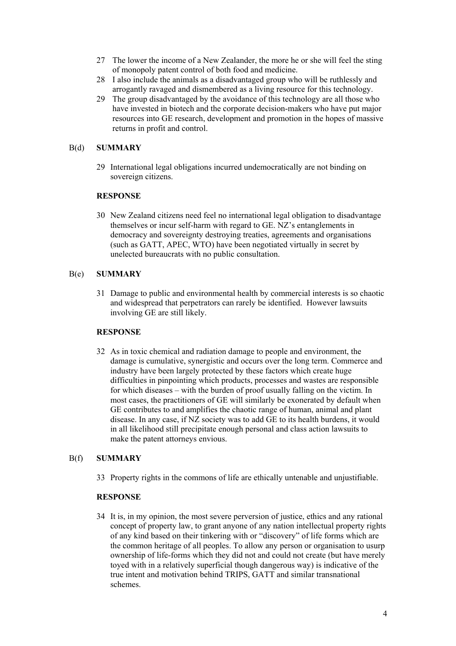- 27 The lower the income of a New Zealander, the more he or she will feel the sting of monopoly patent control of both food and medicine.
- 28 I also include the animals as a disadvantaged group who will be ruthlessly and arrogantly ravaged and dismembered as a living resource for this technology.
- 29 The group disadvantaged by the avoidance of this technology are all those who have invested in biotech and the corporate decision-makers who have put major resources into GE research, development and promotion in the hopes of massive returns in profit and control.

# B(d) **SUMMARY**

29 International legal obligations incurred undemocratically are not binding on sovereign citizens.

# **RESPONSE**

30 New Zealand citizens need feel no international legal obligation to disadvantage themselves or incur self-harm with regard to GE. NZ's entanglements in democracy and sovereignty destroying treaties, agreements and organisations (such as GATT, APEC, WTO) have been negotiated virtually in secret by unelected bureaucrats with no public consultation.

# B(e) **SUMMARY**

31 Damage to public and environmental health by commercial interests is so chaotic and widespread that perpetrators can rarely be identified. However lawsuits involving GE are still likely.

#### **RESPONSE**

32 As in toxic chemical and radiation damage to people and environment, the damage is cumulative, synergistic and occurs over the long term. Commerce and industry have been largely protected by these factors which create huge difficulties in pinpointing which products, processes and wastes are responsible for which diseases – with the burden of proof usually falling on the victim. In most cases, the practitioners of GE will similarly be exonerated by default when GE contributes to and amplifies the chaotic range of human, animal and plant disease. In any case, if NZ society was to add GE to its health burdens, it would in all likelihood still precipitate enough personal and class action lawsuits to make the patent attorneys envious.

# B(f) **SUMMARY**

33 Property rights in the commons of life are ethically untenable and unjustifiable.

# **RESPONSE**

34 It is, in my opinion, the most severe perversion of justice, ethics and any rational concept of property law, to grant anyone of any nation intellectual property rights of any kind based on their tinkering with or "discovery" of life forms which are the common heritage of all peoples. To allow any person or organisation to usurp ownership of life-forms which they did not and could not create (but have merely toyed with in a relatively superficial though dangerous way) is indicative of the true intent and motivation behind TRIPS, GATT and similar transnational schemes.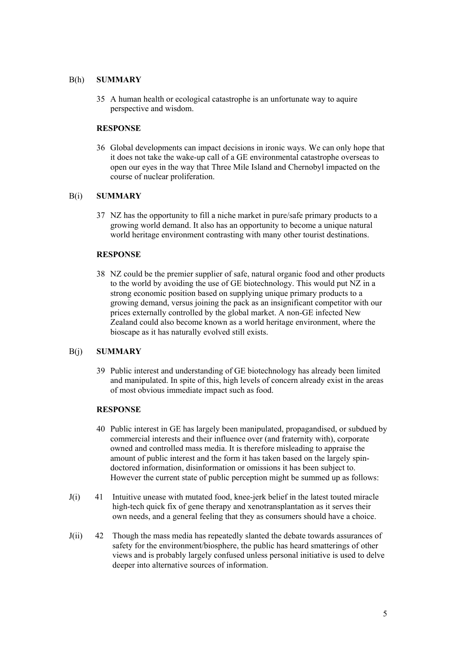## B(h) **SUMMARY**

35 A human health or ecological catastrophe is an unfortunate way to aquire perspective and wisdom.

## **RESPONSE**

36 Global developments can impact decisions in ironic ways. We can only hope that it does not take the wake-up call of a GE environmental catastrophe overseas to open our eyes in the way that Three Mile Island and Chernobyl impacted on the course of nuclear proliferation.

#### B(i) **SUMMARY**

37 NZ has the opportunity to fill a niche market in pure/safe primary products to a growing world demand. It also has an opportunity to become a unique natural world heritage environment contrasting with many other tourist destinations.

# **RESPONSE**

38 NZ could be the premier supplier of safe, natural organic food and other products to the world by avoiding the use of GE biotechnology. This would put NZ in a strong economic position based on supplying unique primary products to a growing demand, versus joining the pack as an insignificant competitor with our prices externally controlled by the global market. A non-GE infected New Zealand could also become known as a world heritage environment, where the bioscape as it has naturally evolved still exists.

#### B(j) **SUMMARY**

39 Public interest and understanding of GE biotechnology has already been limited and manipulated. In spite of this, high levels of concern already exist in the areas of most obvious immediate impact such as food.

#### **RESPONSE**

- 40 Public interest in GE has largely been manipulated, propagandised, or subdued by commercial interests and their influence over (and fraternity with), corporate owned and controlled mass media. It is therefore misleading to appraise the amount of public interest and the form it has taken based on the largely spindoctored information, disinformation or omissions it has been subject to. However the current state of public perception might be summed up as follows:
- J(i) 41 Intuitive unease with mutated food, knee-jerk belief in the latest touted miracle high-tech quick fix of gene therapy and xenotransplantation as it serves their own needs, and a general feeling that they as consumers should have a choice.
- J(ii) 42 Though the mass media has repeatedly slanted the debate towards assurances of safety for the environment/biosphere, the public has heard smatterings of other views and is probably largely confused unless personal initiative is used to delve deeper into alternative sources of information.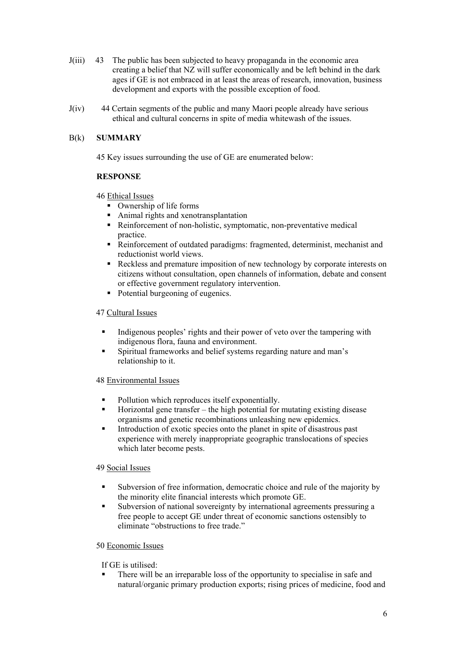- J(iii) 43 The public has been subjected to heavy propaganda in the economic area creating a belief that NZ will suffer economically and be left behind in the dark ages if GE is not embraced in at least the areas of research, innovation, business development and exports with the possible exception of food.
- J(iv) 44 Certain segments of the public and many Maori people already have serious ethical and cultural concerns in spite of media whitewash of the issues.

# B(k) **SUMMARY**

45 Key issues surrounding the use of GE are enumerated below:

# **RESPONSE**

# 46 Ethical Issues

- Ownership of life forms
- Animal rights and xenotransplantation
- Reinforcement of non-holistic, symptomatic, non-preventative medical practice.
- Reinforcement of outdated paradigms: fragmented, determinist, mechanist and reductionist world views.
- Reckless and premature imposition of new technology by corporate interests on citizens without consultation, open channels of information, debate and consent or effective government regulatory intervention.
- Potential burgeoning of eugenics.

# 47 Cultural Issues

- Indigenous peoples' rights and their power of veto over the tampering with indigenous flora, fauna and environment.
- Spiritual frameworks and belief systems regarding nature and man's relationship to it.

#### 48 Environmental Issues

- Pollution which reproduces itself exponentially.
- Horizontal gene transfer the high potential for mutating existing disease organisms and genetic recombinations unleashing new epidemics.
- Introduction of exotic species onto the planet in spite of disastrous past experience with merely inappropriate geographic translocations of species which later become pests.

#### 49 Social Issues

- Subversion of free information, democratic choice and rule of the majority by the minority elite financial interests which promote GE.
- Subversion of national sovereignty by international agreements pressuring a free people to accept GE under threat of economic sanctions ostensibly to eliminate "obstructions to free trade."

#### 50 Economic Issues

If GE is utilised:

 There will be an irreparable loss of the opportunity to specialise in safe and natural/organic primary production exports; rising prices of medicine, food and